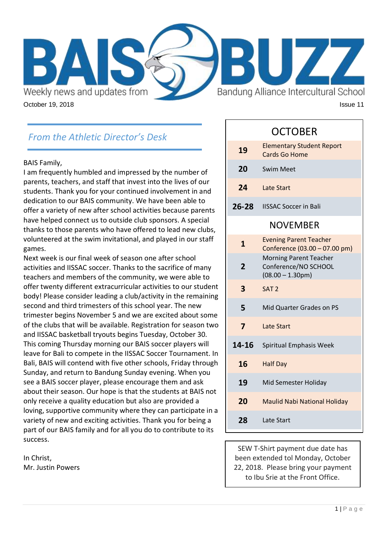

# *From the Athletic Director's Desk*

#### BAIS Family,

I am frequently humbled and impressed by the number of parents, teachers, and staff that invest into the lives of our students. Thank you for your continued involvement in and dedication to our BAIS community. We have been able to offer a variety of new after school activities because parents have helped connect us to outside club sponsors. A special thanks to those parents who have offered to lead new clubs, volunteered at the swim invitational, and played in our staff games.

Next week is our final week of season one after school activities and IISSAC soccer. Thanks to the sacrifice of many teachers and members of the community, we were able to offer twenty different extracurricular activities to our student body! Please consider leading a club/activity in the remaining second and third trimesters of this school year. The new trimester begins November 5 and we are excited about some of the clubs that will be available. Registration for season two and IISSAC basketball tryouts begins Tuesday, October 30. This coming Thursday morning our BAIS soccer players will leave for Bali to compete in the IISSAC Soccer Tournament. In Bali, BAIS will contend with five other schools, Friday through Sunday, and return to Bandung Sunday evening. When you see a BAIS soccer player, please encourage them and ask about their season. Our hope is that the students at BAIS not only receive a quality education but also are provided a loving, supportive community where they can participate in a variety of new and exciting activities. Thank you for being a part of our BAIS family and for all you do to contribute to its success.

In Christ, Mr. Justin Powers

## OCTOBER

| 19                      | <b>Elementary Student Report</b><br><b>Cards Go Home</b>                            |
|-------------------------|-------------------------------------------------------------------------------------|
| 20                      | <b>Swim Meet</b>                                                                    |
| 24                      | <b>Late Start</b>                                                                   |
| 26-28                   | <b>IISSAC Soccer in Bali</b>                                                        |
| <b>NOVEMBER</b>         |                                                                                     |
| $\mathbf{1}$            | <b>Evening Parent Teacher</b><br>Conference (03.00 - 07.00 pm)                      |
| $\overline{2}$          | <b>Morning Parent Teacher</b><br>Conference/NO SCHOOL<br>$(08.00 - 1.30 \text{pm})$ |
| 3                       | SAT <sub>2</sub>                                                                    |
| 5                       | Mid Quarter Grades on PS                                                            |
| $\overline{\mathbf{z}}$ | <b>Late Start</b>                                                                   |
| 14-16                   | Spiritual Emphasis Week                                                             |
| 16                      | <b>Half Day</b>                                                                     |
| 19                      | Mid Semester Holiday                                                                |
| 20                      | <b>Maulid Nabi National Holiday</b>                                                 |
| 28                      | Late Start                                                                          |

SEW T-Shirt payment due date has been extended tol Monday, October 22, 2018. Please bring your payment to Ibu Srie at the Front Office.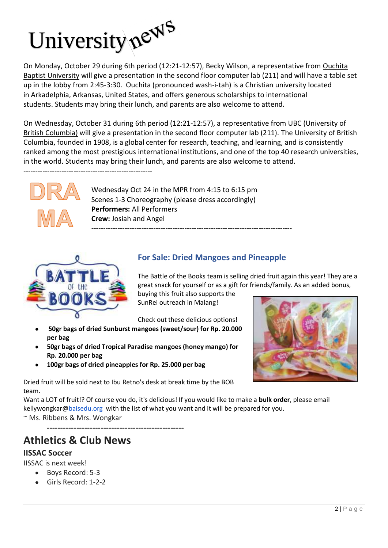

On Monday, October 29 during 6th period (12:21-12:57), Becky Wilson, a representative from [Ouchita](https://obu.edu/)  [Baptist University](https://obu.edu/) will give a presentation in the second floor computer lab (211) and will have a table set up in the lobby from 2:45-3:30. Ouchita (pronounced wash-i-tah) is a Christian university located in Arkadelphia, Arkansas, United States, and offers generous scholarships to international students. Students may bring their lunch, and parents are also welcome to attend.

On Wednesday, October 31 during 6th period (12:21-12:57), a representative from [UBC \(University of](https://you.ubc.ca/)  [British Columbia\)](https://you.ubc.ca/) will give a presentation in the second floor computer lab (211). The University of British Columbia, founded in 1908, is a global center for research, teaching, and learning, and is consistently ranked among the most prestigious international institutions, and one of the top 40 research universities, in the world. Students may bring their lunch, and parents are also welcome to attend.

------------------------------------------------------



Wednesday Oct 24 in the MPR from 4:15 to 6:15 pm Scenes 1-3 Choreography (please dress accordingly) **Performers:** All Performers **Crew:** Josiah and Angel ------------------------------------------------------------------------------------



### **For Sale: Dried Mangoes and Pineapple**

The Battle of the Books team is selling dried fruit again this year! They are a great snack for yourself or as a gift for friends/family. As an added bonus,

buying this fruit also supports the SunRei outreach in Malang!

Check out these delicious options!

- **50gr bags of dried Sunburst mangoes (sweet/sour) for Rp. 20.000 per bag**
- **50gr bags of dried Tropical Paradise mangoes (honey mango) for Rp. 20.000 per bag**
- **100gr bags of dried pineapples for Rp. 25.000 per bag**



Dried fruit will be sold next to Ibu Retno's desk at break time by the BOB team.

Want a LOT of fruit!? Of course you do, it's delicious! If you would like to make a **bulk order**, please email kellywongkar[@baisedu.org](http://baisedu.org/) with the list of what you want and it will be prepared for you. ~ Ms. Ribbens & Mrs. Wongkar

**---------------------------------------------------**

# **Athletics & Club News**

### **IISSAC Soccer**

IISSAC is next week!

- Boys Record: 5-3
- Girls Record: 1-2-2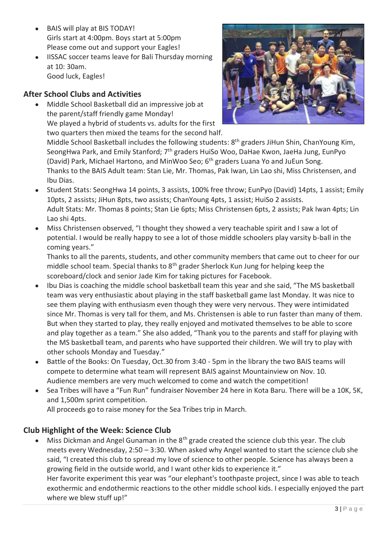- BAIS will play at BIS TODAY! Girls start at 4:00pm. Boys start at 5:00pm Please come out and support your Eagles!
- IISSAC soccer teams leave for Bali Thursday morning at 10: 30am. Good luck, Eagles!

### **After School Clubs and Activities**

 Middle School Basketball did an impressive job at the parent/staff friendly game Monday! We played a hybrid of students vs. adults for the first two quarters then mixed the teams for the second half.



Middle School Basketball includes the following students: 8<sup>th</sup> graders JiHun Shin, ChanYoung Kim, SeongHwa Park, and Emily Stanford; 7<sup>th</sup> graders HuiSo Woo, DaHae Kwon, JaeHa Jung, EunPyo (David) Park, Michael Hartono, and MinWoo Seo; 6<sup>th</sup> graders Luana Yo and JuEun Song. Thanks to the BAIS Adult team: Stan Lie, Mr. Thomas, Pak Iwan, Lin Lao shi, Miss Christensen, and Ibu Dias.

- Student Stats: SeongHwa 14 points, 3 assists, 100% free throw; EunPyo (David) 14pts, 1 assist; Emily 10pts, 2 assists; JiHun 8pts, two assists; ChanYoung 4pts, 1 assist; HuiSo 2 assists. Adult Stats: Mr. Thomas 8 points; Stan Lie 6pts; Miss Christensen 6pts, 2 assists; Pak Iwan 4pts; Lin Lao shi 4pts.
- Miss Christensen observed, "I thought they showed a very teachable spirit and I saw a lot of potential. I would be really happy to see a lot of those middle schoolers play varsity b-ball in the coming years."

Thanks to all the parents, students, and other community members that came out to cheer for our middle school team. Special thanks to  $8<sup>th</sup>$  grader Sherlock Kun Jung for helping keep the scoreboard/clock and senior Jade Kim for taking pictures for Facebook.

- Ibu Dias is coaching the middle school basketball team this year and she said, "The MS basketball team was very enthusiastic about playing in the staff basketball game last Monday. It was nice to see them playing with enthusiasm even though they were very nervous. They were intimidated since Mr. Thomas is very tall for them, and Ms. Christensen is able to run faster than many of them. But when they started to play, they really enjoyed and motivated themselves to be able to score and play together as a team." She also added, "Thank you to the parents and staff for playing with the MS basketball team, and parents who have supported their children. We will try to play with other schools Monday and Tuesday."
- Battle of the Books: On Tuesday, Oct.30 from 3:40 5pm in the library the two BAIS teams will compete to determine what team will represent BAIS against Mountainview on Nov. 10. Audience members are very much welcomed to come and watch the competition!
- Sea Tribes will have a "Fun Run" fundraiser November 24 here in Kota Baru. There will be a 10K, 5K, and 1,500m sprint competition. All proceeds go to raise money for the Sea Tribes trip in March.

### **Club Highlight of the Week: Science Club**

Miss Dickman and Angel Gunaman in the  $8<sup>th</sup>$  grade created the science club this year. The club meets every Wednesday, 2:50 – 3:30. When asked why Angel wanted to start the science club she said, "I created this club to spread my love of science to other people. Science has always been a growing field in the outside world, and I want other kids to experience it." Her favorite experiment this year was "our elephant's toothpaste project, since I was able to teach exothermic and endothermic reactions to the other middle school kids. I especially enjoyed the part where we blew stuff up!"